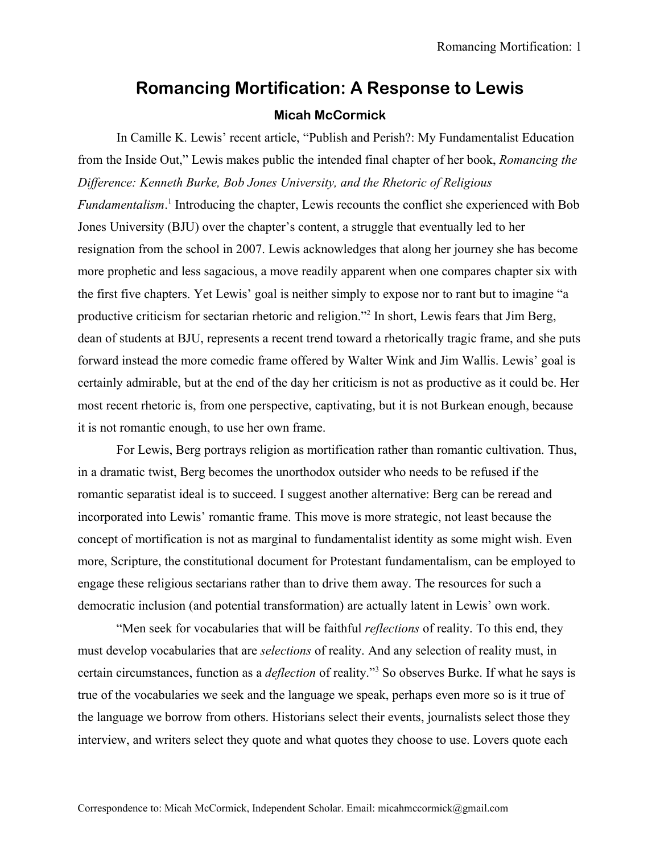## **Romancing Mortification: A Response to Lewis Micah McCormick**

In Camille K. Lewis' recent article, "Publish and Perish?: My Fundamentalist Education from the Inside Out," Lewis makes public the intended final chapter of her book, *Romancing the Difference: Kenneth Burke, Bob Jones University, and the Rhetoric of Religious Fundamentalism*. [1](#page-9-0) Introducing the chapter, Lewis recounts the conflict she experienced with Bob Jones University (BJU) over the chapter's content, a struggle that eventually led to her resignation from the school in 2007. Lewis acknowledges that along her journey she has become more prophetic and less sagacious, a move readily apparent when one compares chapter six with the first five chapters. Yet Lewis' goal is neither simply to expose nor to rant but to imagine "a productive criticism for sectarian rhetoric and religion."<sup>[2](#page-9-1)</sup> In short, Lewis fears that Jim Berg, dean of students at BJU, represents a recent trend toward a rhetorically tragic frame, and she puts forward instead the more comedic frame offered by Walter Wink and Jim Wallis. Lewis' goal is certainly admirable, but at the end of the day her criticism is not as productive as it could be. Her most recent rhetoric is, from one perspective, captivating, but it is not Burkean enough, because it is not romantic enough, to use her own frame.

For Lewis, Berg portrays religion as mortification rather than romantic cultivation. Thus, in a dramatic twist, Berg becomes the unorthodox outsider who needs to be refused if the romantic separatist ideal is to succeed. I suggest another alternative: Berg can be reread and incorporated into Lewis' romantic frame. This move is more strategic, not least because the concept of mortification is not as marginal to fundamentalist identity as some might wish. Even more, Scripture, the constitutional document for Protestant fundamentalism, can be employed to engage these religious sectarians rather than to drive them away. The resources for such a democratic inclusion (and potential transformation) are actually latent in Lewis' own work.

"Men seek for vocabularies that will be faithful *reflections* of reality. To this end, they must develop vocabularies that are *selections* of reality. And any selection of reality must, in certain circumstances, function as a *deflection* of reality."[3](#page-9-2) So observes Burke. If what he says is true of the vocabularies we seek and the language we speak, perhaps even more so is it true of the language we borrow from others. Historians select their events, journalists select those they interview, and writers select they quote and what quotes they choose to use. Lovers quote each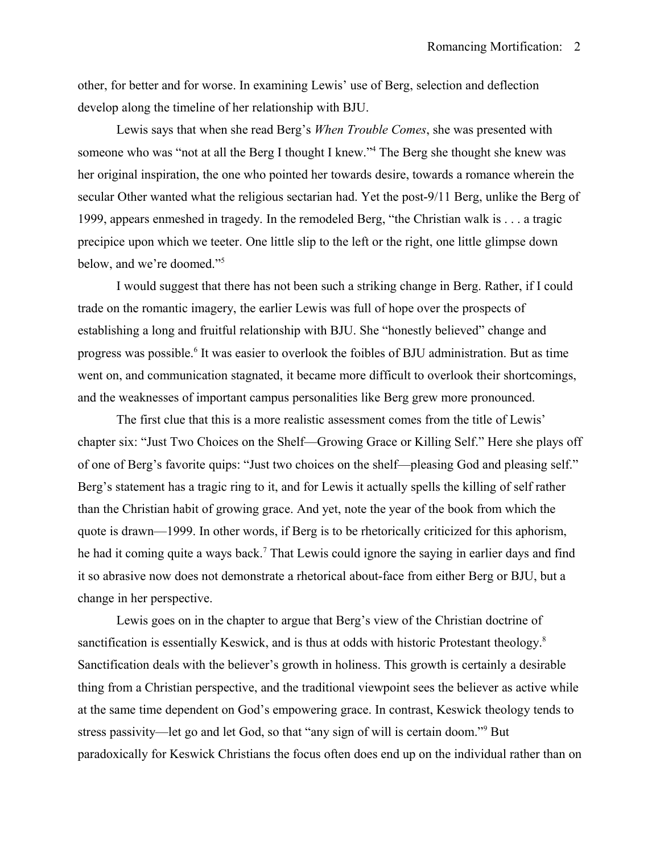other, for better and for worse. In examining Lewis' use of Berg, selection and deflection develop along the timeline of her relationship with BJU.

Lewis says that when she read Berg's *When Trouble Comes*, she was presented with someone who was "not at all the Berg I thought I knew."<sup>[4](#page-9-3)</sup> The Berg she thought she knew was her original inspiration, the one who pointed her towards desire, towards a romance wherein the secular Other wanted what the religious sectarian had. Yet the post-9/11 Berg, unlike the Berg of 1999, appears enmeshed in tragedy. In the remodeled Berg, "the Christian walk is . . . a tragic precipice upon which we teeter. One little slip to the left or the right, one little glimpse down below, and we're doomed."[5](#page-9-4)

I would suggest that there has not been such a striking change in Berg. Rather, if I could trade on the romantic imagery, the earlier Lewis was full of hope over the prospects of establishing a long and fruitful relationship with BJU. She "honestly believed" change and progress was possible.<sup>[6](#page-9-5)</sup> It was easier to overlook the foibles of BJU administration. But as time went on, and communication stagnated, it became more difficult to overlook their shortcomings, and the weaknesses of important campus personalities like Berg grew more pronounced.

The first clue that this is a more realistic assessment comes from the title of Lewis' chapter six: "Just Two Choices on the Shelf—Growing Grace or Killing Self." Here she plays off of one of Berg's favorite quips: "Just two choices on the shelf—pleasing God and pleasing self." Berg's statement has a tragic ring to it, and for Lewis it actually spells the killing of self rather than the Christian habit of growing grace. And yet, note the year of the book from which the quote is drawn—1999. In other words, if Berg is to be rhetorically criticized for this aphorism, he had it coming quite a ways back.<sup>[7](#page-9-6)</sup> That Lewis could ignore the saying in earlier days and find it so abrasive now does not demonstrate a rhetorical about-face from either Berg or BJU, but a change in her perspective.

Lewis goes on in the chapter to argue that Berg's view of the Christian doctrine of sanctification is essentially Keswick, and is thus at odds with historic Protestant theology.<sup>[8](#page-9-7)</sup> Sanctification deals with the believer's growth in holiness. This growth is certainly a desirable thing from a Christian perspective, and the traditional viewpoint sees the believer as active while at the same time dependent on God's empowering grace. In contrast, Keswick theology tends to stress passivity—let go and let God, so that "any sign of will is certain doom."<sup>[9](#page-9-8)</sup> But paradoxically for Keswick Christians the focus often does end up on the individual rather than on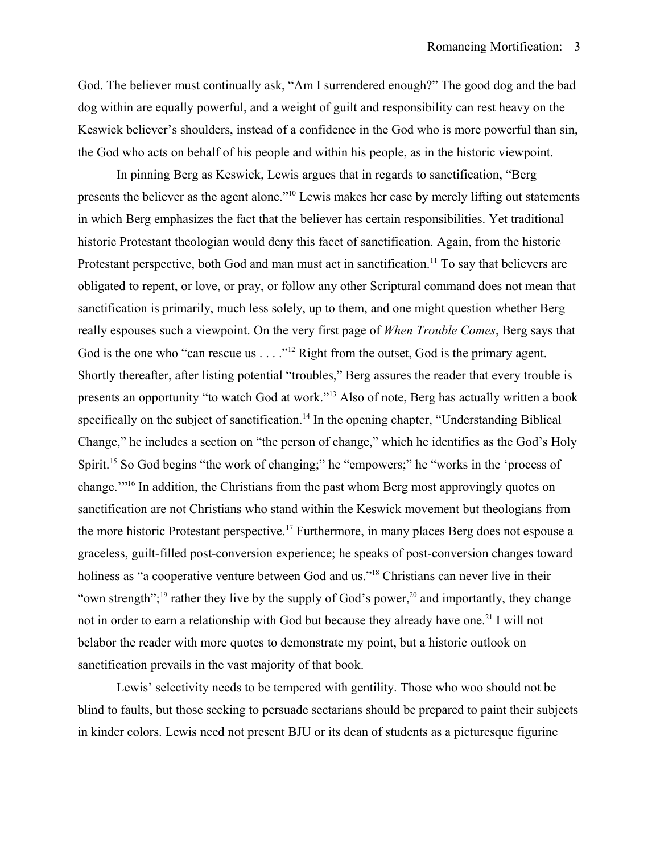God. The believer must continually ask, "Am I surrendered enough?" The good dog and the bad dog within are equally powerful, and a weight of guilt and responsibility can rest heavy on the Keswick believer's shoulders, instead of a confidence in the God who is more powerful than sin, the God who acts on behalf of his people and within his people, as in the historic viewpoint.

In pinning Berg as Keswick, Lewis argues that in regards to sanctification, "Berg presents the believer as the agent alone."[10](#page-9-9) Lewis makes her case by merely lifting out statements in which Berg emphasizes the fact that the believer has certain responsibilities. Yet traditional historic Protestant theologian would deny this facet of sanctification. Again, from the historic Protestant perspective, both God and man must act in sanctification.<sup>[11](#page-9-10)</sup> To say that believers are obligated to repent, or love, or pray, or follow any other Scriptural command does not mean that sanctification is primarily, much less solely, up to them, and one might question whether Berg really espouses such a viewpoint. On the very first page of *When Trouble Comes*, Berg says that God is the one who "can rescue us . . . . "<sup>[12](#page-9-11)</sup> Right from the outset, God is the primary agent. Shortly thereafter, after listing potential "troubles," Berg assures the reader that every trouble is presents an opportunity "to watch God at work."[13](#page-9-12) Also of note, Berg has actually written a book specifically on the subject of sanctification.<sup>[14](#page-9-13)</sup> In the opening chapter, "Understanding Biblical Change," he includes a section on "the person of change," which he identifies as the God's Holy Spirit.<sup>[15](#page-9-14)</sup> So God begins "the work of changing;" he "empowers;" he "works in the 'process of change.'"[16](#page-9-15) In addition, the Christians from the past whom Berg most approvingly quotes on sanctification are not Christians who stand within the Keswick movement but theologians from the more historic Protestant perspective.<sup>[17](#page-9-16)</sup> Furthermore, in many places Berg does not espouse a graceless, guilt-filled post-conversion experience; he speaks of post-conversion changes toward holiness as "a cooperative venture between God and us."<sup>[18](#page-9-17)</sup> Christians can never live in their "own strength";<sup>[19](#page-9-18)</sup> rather they live by the supply of God's power,<sup>[20](#page-9-19)</sup> and importantly, they change not in order to earn a relationship with God but because they already have one.<sup>[21](#page-9-20)</sup> I will not belabor the reader with more quotes to demonstrate my point, but a historic outlook on sanctification prevails in the vast majority of that book.

Lewis' selectivity needs to be tempered with gentility. Those who woo should not be blind to faults, but those seeking to persuade sectarians should be prepared to paint their subjects in kinder colors. Lewis need not present BJU or its dean of students as a picturesque figurine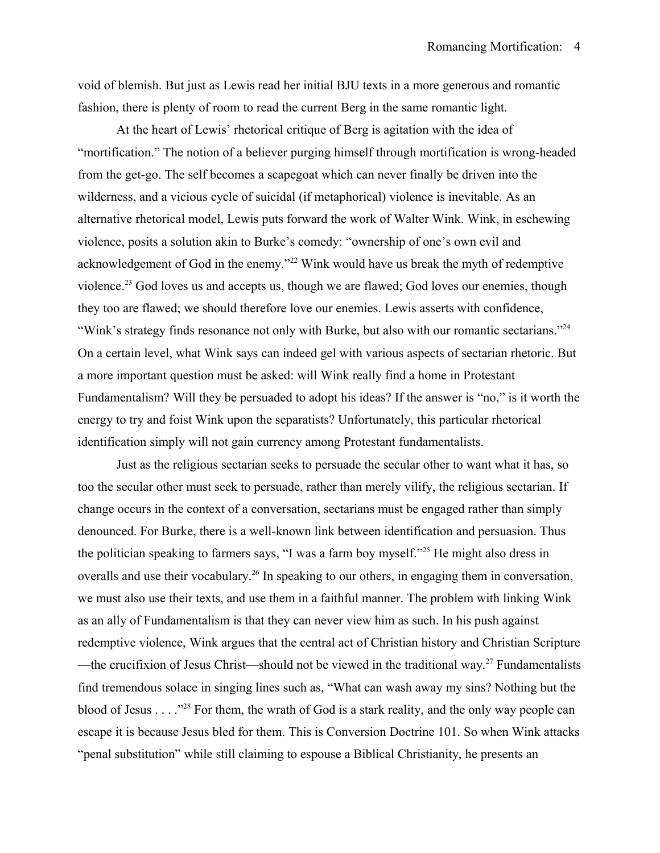void of blemish. But just as Lewis read her initial BJU texts in a more generous and romantic fashion, there is plenty of room to read the current Berg in the same romantic light.

At the heart of Lewis' rhetorical critique of Berg is agitation with the idea of "mortification." The notion of a believer purging himself through mortification is wrong-headed from the get-go. The self becomes a scapegoat which can never finally be driven into the wilderness, and a vicious cycle of suicidal (if metaphorical) violence is inevitable. As an alternative rhetorical model, Lewis puts forward the work of Walter Wink. Wink, in eschewing violence, posits a solution akin to Burke's comedy: "ownership of one's own evil and acknowledgement of God in the enemy."<sup>[22](#page-9-21)</sup> Wink would have us break the myth of redemptive violence.<sup>[23](#page-9-22)</sup> God loves us and accepts us, though we are flawed; God loves our enemies, though they too are flawed; we should therefore love our enemies. Lewis asserts with confidence, "Wink's strategy finds resonance not only with Burke, but also with our romantic sectarians."<sup>[24](#page-9-23)</sup> On a certain level, what Wink says can indeed gel with various aspects of sectarian rhetoric. But a more important question must be asked: will Wink really find a home in Protestant Fundamentalism? Will they be persuaded to adopt his ideas? If the answer is "no," is it worth the energy to try and foist Wink upon the separatists? Unfortunately, this particular rhetorical identification simply will not gain currency among Protestant fundamentalists.

Just as the religious sectarian seeks to persuade the secular other to want what it has, so too the secular other must seek to persuade, rather than merely vilify, the religious sectarian. If change occurs in the context of a conversation, sectarians must be engaged rather than simply denounced. For Burke, there is a well-known link between identification and persuasion. Thus the politician speaking to farmers says, "I was a farm boy myself."[25](#page-9-24) He might also dress in overalls and use their vocabulary.<sup>[26](#page-9-25)</sup> In speaking to our others, in engaging them in conversation, we must also use their texts, and use them in a faithful manner. The problem with linking Wink as an ally of Fundamentalism is that they can never view him as such. In his push against redemptive violence, Wink argues that the central act of Christian history and Christian Scripture —the crucifixion of Jesus Christ—should not be viewed in the traditional way.<sup>[27](#page-9-26)</sup> Fundamentalists find tremendous solace in singing lines such as, "What can wash away my sins? Nothing but the blood of Jesus . . . ."[28](#page-9-27) For them, the wrath of God is a stark reality, and the only way people can escape it is because Jesus bled for them. This is Conversion Doctrine 101. So when Wink attacks "penal substitution" while still claiming to espouse a Biblical Christianity, he presents an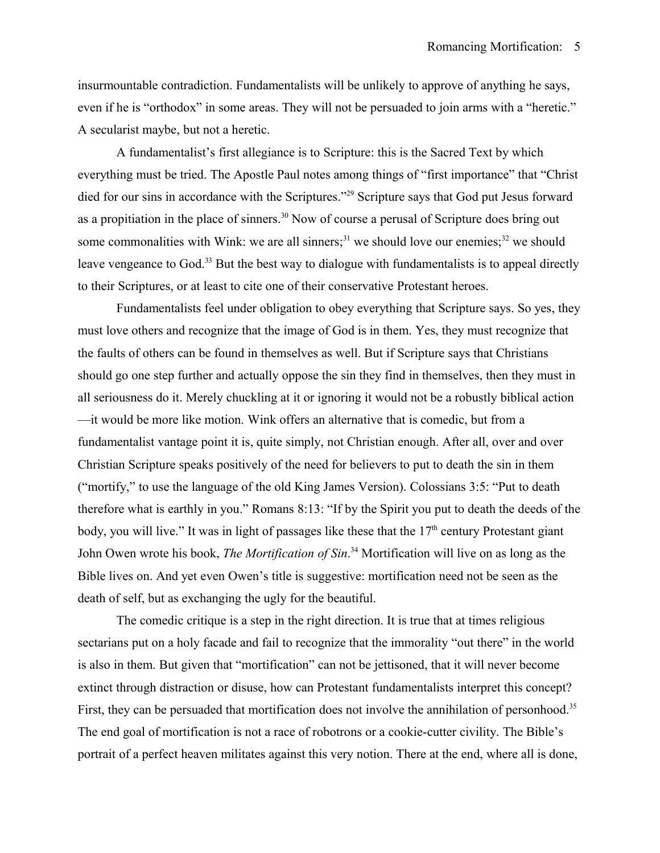insurmountable contradiction. Fundamentalists will be unlikely to approve of anything he says, even if he is "orthodox" in some areas. They will not be persuaded to join arms with a "heretic." A secularist maybe, but not a heretic.

A fundamentalist's first allegiance is to Scripture: this is the Sacred Text by which everything must be tried. The Apostle Paul notes among things of "first importance" that "Christ died for our sins in accordance with the Scriptures."<sup>[29](#page-9-28)</sup> Scripture says that God put Jesus forward as a propitiation in the place of sinners.<sup>[30](#page-9-29)</sup> Now of course a perusal of Scripture does bring out some commonalities with Wink: we are all sinners;<sup>[31](#page-9-30)</sup> we should love our enemies;<sup>[32](#page-9-31)</sup> we should leave vengeance to God.<sup>[33](#page-9-32)</sup> But the best way to dialogue with fundamentalists is to appeal directly to their Scriptures, or at least to cite one of their conservative Protestant heroes.

Fundamentalists feel under obligation to obey everything that Scripture says. So yes, they must love others and recognize that the image of God is in them. Yes, they must recognize that the faults of others can be found in themselves as well. But if Scripture says that Christians should go one step further and actually oppose the sin they find in themselves, then they must in all seriousness do it. Merely chuckling at it or ignoring it would not be a robustly biblical action —it would be more like motion. Wink offers an alternative that is comedic, but from a fundamentalist vantage point it is, quite simply, not Christian enough. After all, over and over Christian Scripture speaks positively of the need for believers to put to death the sin in them ("mortify," to use the language of the old King James Version). Colossians 3:5: "Put to death therefore what is earthly in you." Romans 8:13: "If by the Spirit you put to death the deeds of the body, you will live." It was in light of passages like these that the  $17<sup>th</sup>$  century Protestant giant John Owen wrote his book, *The Mortification of Sin*. [34](#page-9-33) Mortification will live on as long as the Bible lives on. And yet even Owen's title is suggestive: mortification need not be seen as the death of self, but as exchanging the ugly for the beautiful.

The comedic critique is a step in the right direction. It is true that at times religious sectarians put on a holy facade and fail to recognize that the immorality "out there" in the world is also in them. But given that "mortification" can not be jettisoned, that it will never become extinct through distraction or disuse, how can Protestant fundamentalists interpret this concept? First, they can be persuaded that mortification does not involve the annihilation of personhood.<sup>[35](#page-9-34)</sup> The end goal of mortification is not a race of robotrons or a cookie-cutter civility. The Bible's portrait of a perfect heaven militates against this very notion. There at the end, where all is done,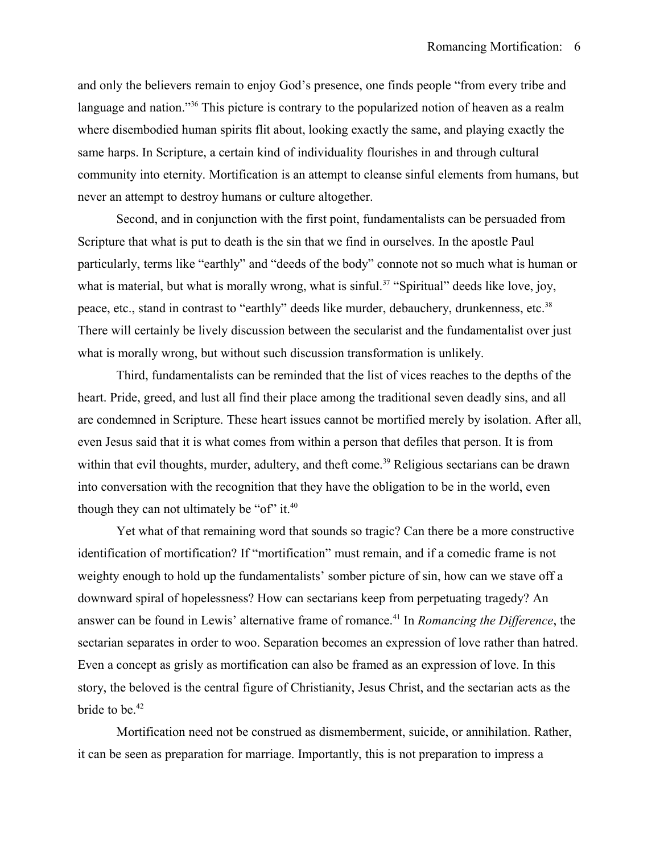and only the believers remain to enjoy God's presence, one finds people "from every tribe and language and nation."<sup>[36](#page-9-35)</sup> This picture is contrary to the popularized notion of heaven as a realm where disembodied human spirits flit about, looking exactly the same, and playing exactly the same harps. In Scripture, a certain kind of individuality flourishes in and through cultural community into eternity. Mortification is an attempt to cleanse sinful elements from humans, but never an attempt to destroy humans or culture altogether.

Second, and in conjunction with the first point, fundamentalists can be persuaded from Scripture that what is put to death is the sin that we find in ourselves. In the apostle Paul particularly, terms like "earthly" and "deeds of the body" connote not so much what is human or what is material, but what is morally wrong, what is sinful.<sup>[37](#page-9-36)</sup> "Spiritual" deeds like love, joy, peace, etc., stand in contrast to "earthly" deeds like murder, debauchery, drunkenness, etc.<sup>[38](#page-9-37)</sup> There will certainly be lively discussion between the secularist and the fundamentalist over just what is morally wrong, but without such discussion transformation is unlikely.

Third, fundamentalists can be reminded that the list of vices reaches to the depths of the heart. Pride, greed, and lust all find their place among the traditional seven deadly sins, and all are condemned in Scripture. These heart issues cannot be mortified merely by isolation. After all, even Jesus said that it is what comes from within a person that defiles that person. It is from within that evil thoughts, murder, adultery, and theft come.<sup>[39](#page-9-38)</sup> Religious sectarians can be drawn into conversation with the recognition that they have the obligation to be in the world, even though they can not ultimately be "of" it. $40$ 

Yet what of that remaining word that sounds so tragic? Can there be a more constructive identification of mortification? If "mortification" must remain, and if a comedic frame is not weighty enough to hold up the fundamentalists' somber picture of sin, how can we stave off a downward spiral of hopelessness? How can sectarians keep from perpetuating tragedy? An answer can be found in Lewis' alternative frame of romance.[41](#page-9-40) In *Romancing the Difference*, the sectarian separates in order to woo. Separation becomes an expression of love rather than hatred. Even a concept as grisly as mortification can also be framed as an expression of love. In this story, the beloved is the central figure of Christianity, Jesus Christ, and the sectarian acts as the bride to be.<sup>[42](#page-9-41)</sup>

Mortification need not be construed as dismemberment, suicide, or annihilation. Rather, it can be seen as preparation for marriage. Importantly, this is not preparation to impress a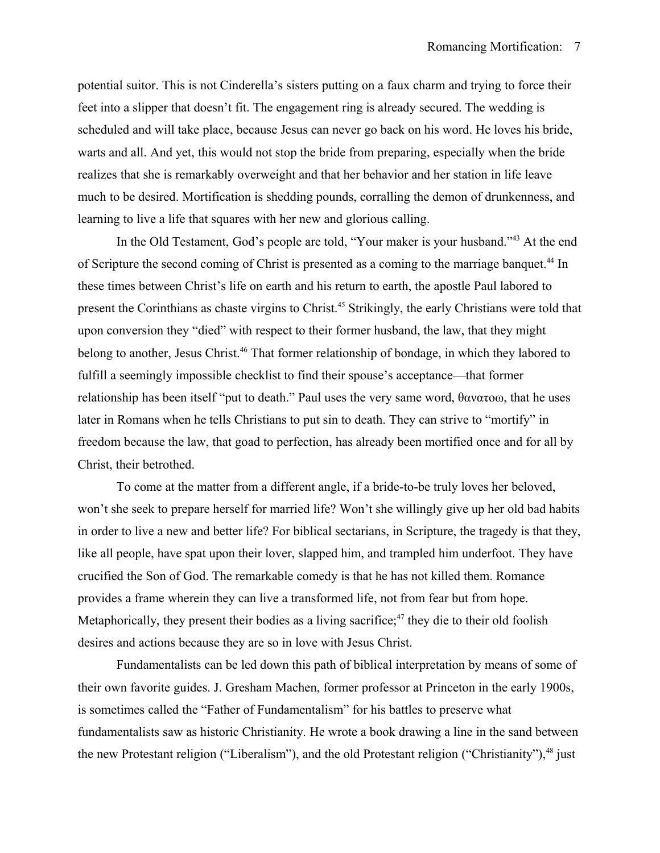potential suitor. This is not Cinderella's sisters putting on a faux charm and trying to force their feet into a slipper that doesn't fit. The engagement ring is already secured. The wedding is scheduled and will take place, because Jesus can never go back on his word. He loves his bride, warts and all. And yet, this would not stop the bride from preparing, especially when the bride realizes that she is remarkably overweight and that her behavior and her station in life leave much to be desired. Mortification is shedding pounds, corralling the demon of drunkenness, and learning to live a life that squares with her new and glorious calling.

In the Old Testament, God's people are told, "Your maker is your husband."<sup>[43](#page-9-42)</sup> At the end of Scripture the second coming of Christ is presented as a coming to the marriage banquet.<sup>[44](#page-9-43)</sup> In these times between Christ's life on earth and his return to earth, the apostle Paul labored to present the Corinthians as chaste virgins to Christ.[45](#page-9-44) Strikingly, the early Christians were told that upon conversion they "died" with respect to their former husband, the law, that they might belong to another, Jesus Christ.<sup>[46](#page-9-45)</sup> That former relationship of bondage, in which they labored to fulfill a seemingly impossible checklist to find their spouse's acceptance—that former relationship has been itself "put to death." Paul uses the very same word, θανατοω, that he uses later in Romans when he tells Christians to put sin to death. They can strive to "mortify" in freedom because the law, that goad to perfection, has already been mortified once and for all by Christ, their betrothed.

To come at the matter from a different angle, if a bride-to-be truly loves her beloved, won't she seek to prepare herself for married life? Won't she willingly give up her old bad habits in order to live a new and better life? For biblical sectarians, in Scripture, the tragedy is that they, like all people, have spat upon their lover, slapped him, and trampled him underfoot. They have crucified the Son of God. The remarkable comedy is that he has not killed them. Romance provides a frame wherein they can live a transformed life, not from fear but from hope. Metaphorically, they present their bodies as a living sacrifice; $47$  they die to their old foolish desires and actions because they are so in love with Jesus Christ.

Fundamentalists can be led down this path of biblical interpretation by means of some of their own favorite guides. J. Gresham Machen, former professor at Princeton in the early 1900s, is sometimes called the "Father of Fundamentalism" for his battles to preserve what fundamentalists saw as historic Christianity. He wrote a book drawing a line in the sand between the new Protestant religion ("Liberalism"), and the old Protestant religion ("Christianity"),  $48$  just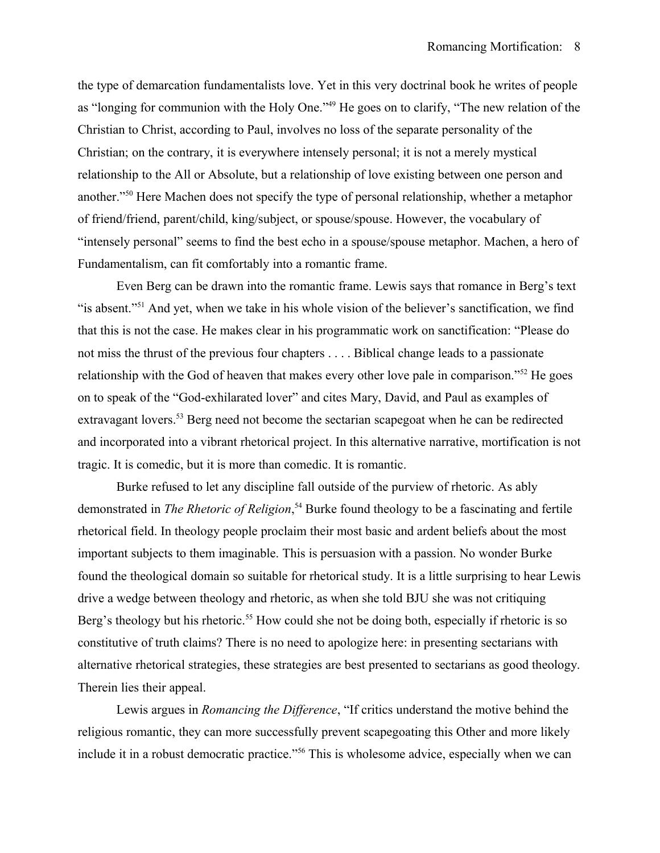the type of demarcation fundamentalists love. Yet in this very doctrinal book he writes of people as "longing for communion with the Holy One."[49](#page-10-1) He goes on to clarify, "The new relation of the Christian to Christ, according to Paul, involves no loss of the separate personality of the Christian; on the contrary, it is everywhere intensely personal; it is not a merely mystical relationship to the All or Absolute, but a relationship of love existing between one person and another."[50](#page-10-2) Here Machen does not specify the type of personal relationship, whether a metaphor of friend/friend, parent/child, king/subject, or spouse/spouse. However, the vocabulary of "intensely personal" seems to find the best echo in a spouse/spouse metaphor. Machen, a hero of Fundamentalism, can fit comfortably into a romantic frame.

Even Berg can be drawn into the romantic frame. Lewis says that romance in Berg's text "is absent."<sup>[51](#page-10-3)</sup> And yet, when we take in his whole vision of the believer's sanctification, we find that this is not the case. He makes clear in his programmatic work on sanctification: "Please do not miss the thrust of the previous four chapters . . . . Biblical change leads to a passionate relationship with the God of heaven that makes every other love pale in comparison."[52](#page-10-4) He goes on to speak of the "God-exhilarated lover" and cites Mary, David, and Paul as examples of extravagant lovers.<sup>[53](#page-10-5)</sup> Berg need not become the sectarian scapegoat when he can be redirected and incorporated into a vibrant rhetorical project. In this alternative narrative, mortification is not tragic. It is comedic, but it is more than comedic. It is romantic.

Burke refused to let any discipline fall outside of the purview of rhetoric. As ably demonstrated in *The Rhetoric of Religion*, [54](#page-10-6) Burke found theology to be a fascinating and fertile rhetorical field. In theology people proclaim their most basic and ardent beliefs about the most important subjects to them imaginable. This is persuasion with a passion. No wonder Burke found the theological domain so suitable for rhetorical study. It is a little surprising to hear Lewis drive a wedge between theology and rhetoric, as when she told BJU she was not critiquing Berg's theology but his rhetoric.<sup>[55](#page-10-7)</sup> How could she not be doing both, especially if rhetoric is so constitutive of truth claims? There is no need to apologize here: in presenting sectarians with alternative rhetorical strategies, these strategies are best presented to sectarians as good theology. Therein lies their appeal.

Lewis argues in *Romancing the Difference*, "If critics understand the motive behind the religious romantic, they can more successfully prevent scapegoating this Other and more likely include it in a robust democratic practice."<sup>[56](#page-10-8)</sup> This is wholesome advice, especially when we can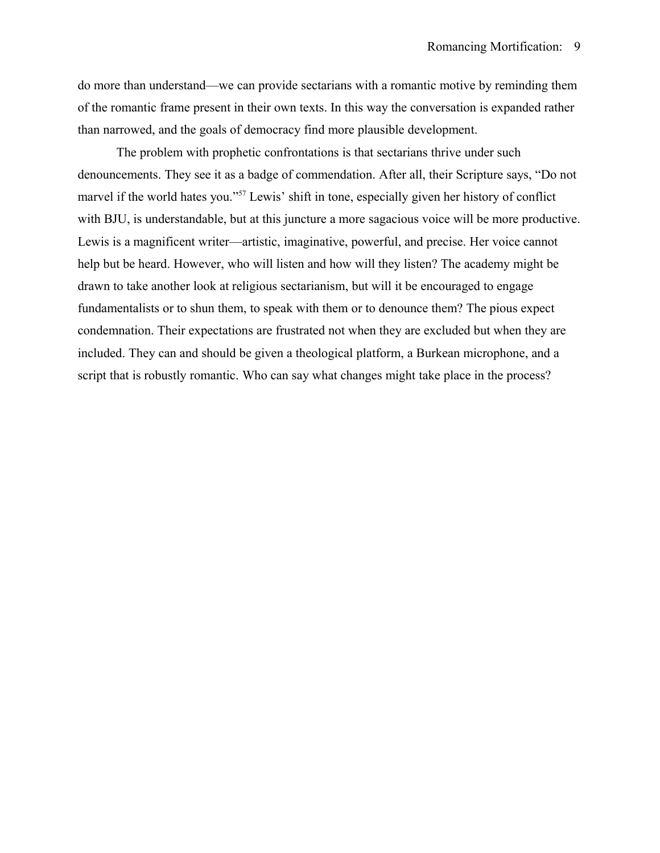do more than understand—we can provide sectarians with a romantic motive by reminding them of the romantic frame present in their own texts. In this way the conversation is expanded rather than narrowed, and the goals of democracy find more plausible development.

The problem with prophetic confrontations is that sectarians thrive under such denouncements. They see it as a badge of commendation. After all, their Scripture says, "Do not marvel if the world hates you."[57](#page-10-9) Lewis' shift in tone, especially given her history of conflict with BJU, is understandable, but at this juncture a more sagacious voice will be more productive. Lewis is a magnificent writer—artistic, imaginative, powerful, and precise. Her voice cannot help but be heard. However, who will listen and how will they listen? The academy might be drawn to take another look at religious sectarianism, but will it be encouraged to engage fundamentalists or to shun them, to speak with them or to denounce them? The pious expect condemnation. Their expectations are frustrated not when they are excluded but when they are included. They can and should be given a theological platform, a Burkean microphone, and a script that is robustly romantic. Who can say what changes might take place in the process?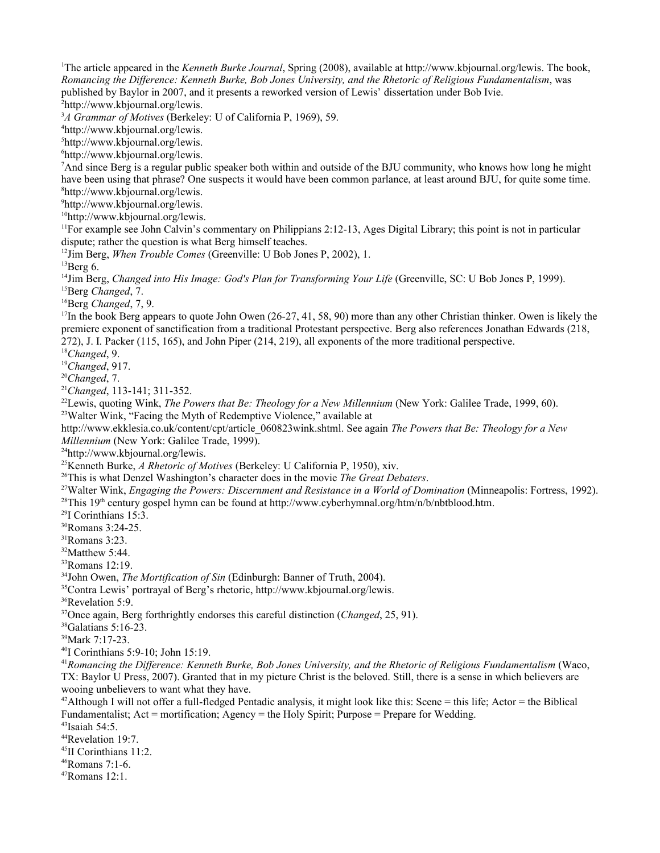<span id="page-9-0"></span>The article appeared in the *Kenneth Burke Journal*, Spring (2008), available at [http://www.kbjournal.org/lewis.](http://www.kbjournal.org/lewis) The book, *Romancing the Difference: Kenneth Burke, Bob Jones University, and the Rhetoric of Religious Fundamentalism*, was published by Baylor in 2007, and it presents a reworked version of Lewis' dissertation under Bob Ivie. [http://www.kbjournal.org/lewis.](http://www.kbjournal.org/lewis)

<span id="page-9-2"></span><span id="page-9-1"></span>*A Grammar of Motives* (Berkeley: U of California P, 1969), 59.

<span id="page-9-3"></span>[http://www.kbjournal.org/lewis.](http://www.kbjournal.org/lewis)

<span id="page-9-4"></span>[http://www.kbjournal.org/lewis.](http://www.kbjournal.org/lewis)

<span id="page-9-5"></span>[http://www.kbjournal.org/lewis.](http://www.kbjournal.org/lewis)

<span id="page-9-6"></span><sup>7</sup>And since Berg is a regular public speaker both within and outside of the BJU community, who knows how long he might have been using that phrase? One suspects it would have been common parlance, at least around BJU, for quite some time. [http://www.kbjournal.org/lewis.](http://www.kbjournal.org/lewis)

<span id="page-9-8"></span><span id="page-9-7"></span>[http://www.kbjournal.org/lewis.](http://www.kbjournal.org/lewis)

<span id="page-9-9"></span>[http://www.kbjournal.org/lewis.](http://www.kbjournal.org/lewis)

<span id="page-9-10"></span> $<sup>11</sup>$ For example see John Calvin's commentary on Philippians 2:12-13, Ages Digital Library; this point is not in particular</sup> dispute; rather the question is what Berg himself teaches.

<span id="page-9-11"></span>Jim Berg, *When Trouble Comes* (Greenville: U Bob Jones P, 2002), 1.

<span id="page-9-12"></span> ${}^{13}$ Berg 6.

<span id="page-9-13"></span><sup>14</sup>Jim Berg, *Changed into His Image: God's Plan for Transforming Your Life* (Greenville, SC: U Bob Jones P, 1999). Berg *Changed*, 7.

<span id="page-9-15"></span><span id="page-9-14"></span>Berg *Changed*, 7, 9.

<span id="page-9-16"></span>In the book Berg appears to quote John Owen (26-27, 41, 58, 90) more than any other Christian thinker. Owen is likely the premiere exponent of sanctification from a traditional Protestant perspective. Berg also references Jonathan Edwards (218, 272), J. I. Packer (115, 165), and John Piper (214, 219), all exponents of the more traditional perspective.

<span id="page-9-17"></span>*Changed*, 9.

<span id="page-9-18"></span>*Changed*, 917.

<span id="page-9-19"></span>*Changed*, 7.

<span id="page-9-20"></span>*Changed*, 113-141; 311-352.

<span id="page-9-22"></span><span id="page-9-21"></span>Lewis, quoting Wink, *The Powers that Be: Theology for a New Millennium* (New York: Galilee Trade, 1999, 60). Walter Wink, "Facing the Myth of Redemptive Violence," available at

http://www.ekklesia.co.uk/content/cpt/article\_060823wink.shtml. See again *The Powers that Be: Theology for a New Millennium* (New York: Galilee Trade, 1999).

<span id="page-9-23"></span>[http://www.kbjournal.org/lewis.](http://www.kbjournal.org/lewis)

<span id="page-9-24"></span>Kenneth Burke, *A Rhetoric of Motives* (Berkeley: U California P, 1950), xiv.

<span id="page-9-25"></span>This is what Denzel Washington's character does in the movie *The Great Debaters*.

<span id="page-9-26"></span>Walter Wink, *Engaging the Powers: Discernment and Resistance in a World of Domination* (Minneapolis: Fortress, 1992).

<span id="page-9-27"></span><sup>28</sup>This 19<sup>th</sup> century gospel hymn can be found at http://www.cyberhymnal.org/htm/n/b/nbtblood.htm.

<span id="page-9-28"></span>I Corinthians 15:3.

<span id="page-9-29"></span>Romans 3:24-25.

<span id="page-9-30"></span>Romans 3:23.

<span id="page-9-31"></span> $32M$ atthew 5:44.

<span id="page-9-32"></span>Romans 12:19.

<span id="page-9-33"></span>John Owen, *The Mortification of Sin* (Edinburgh: Banner of Truth, 2004).

<span id="page-9-34"></span>Contra Lewis' portrayal of Berg's rhetoric, [http://www.kbjournal.org/lewis.](http://www.kbjournal.org/lewis)

<span id="page-9-35"></span>Revelation 5:9.

<span id="page-9-36"></span>Once again, Berg forthrightly endorses this careful distinction (*Changed*, 25, 91).

<span id="page-9-37"></span>Galatians 5:16-23.

<span id="page-9-38"></span>Mark 7:17-23.

<span id="page-9-39"></span>I Corinthians 5:9-10; John 15:19.

<span id="page-9-40"></span>*Romancing the Difference: Kenneth Burke, Bob Jones University, and the Rhetoric of Religious Fundamentalism* (Waco, TX: Baylor U Press, 2007). Granted that in my picture Christ is the beloved. Still, there is a sense in which believers are wooing unbelievers to want what they have.

<span id="page-9-41"></span><sup>42</sup>Although I will not offer a full-fledged Pentadic analysis, it might look like this: Scene = this life; Actor = the Biblical Fundamentalist; Act = mortification; Agency = the Holy Spirit; Purpose = Prepare for Wedding.

<span id="page-9-42"></span>Isaiah 54:5.

<span id="page-9-43"></span>Revelation 19:7.

<span id="page-9-44"></span>II Corinthians 11:2.

<span id="page-9-45"></span>Romans 7:1-6.

<span id="page-9-46"></span>Romans 12:1.